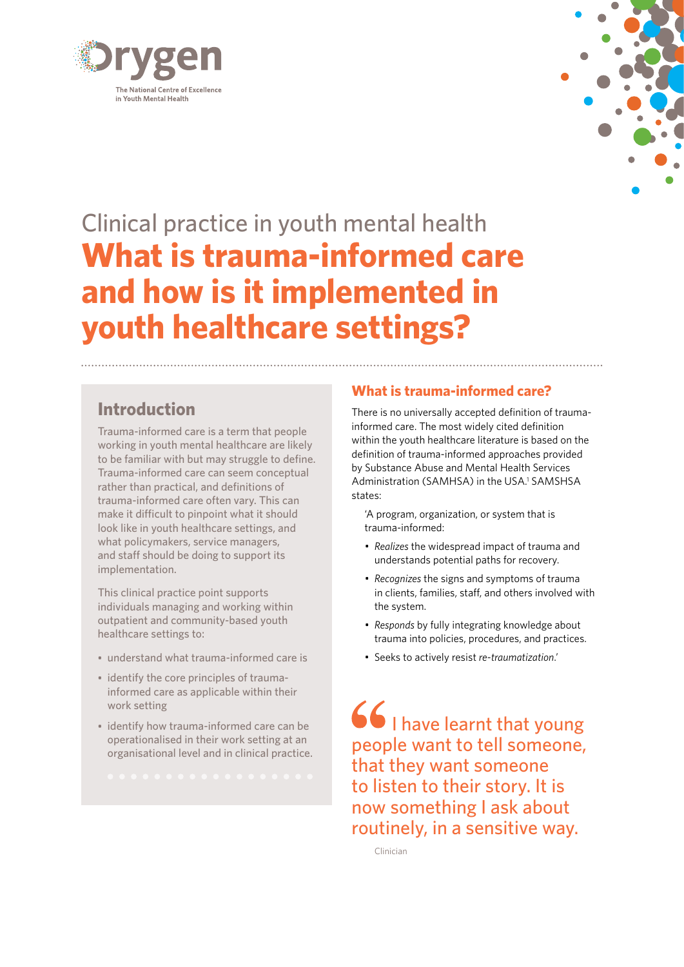



# Clinical practice in youth mental health **What is trauma-informed care and how is it implemented in youth healthcare settings?**

## **Introduction**

Trauma-informed care is a term that people working in youth mental healthcare are likely to be familiar with but may struggle to define. Trauma-informed care can seem conceptual rather than practical, and definitions of trauma-informed care often vary. This can make it difficult to pinpoint what it should look like in youth healthcare settings, and what policymakers, service managers, and staff should be doing to support its implementation.

This clinical practice point supports individuals managing and working within outpatient and community-based youth healthcare settings to:

- understand what trauma-informed care is
- identify the core principles of traumainformed care as applicable within their work setting
- identify how trauma-informed care can be operationalised in their work setting at an organisational level and in clinical practice.

## **What is trauma-informed care?**

There is no universally accepted definition of traumainformed care. The most widely cited definition within the youth healthcare literature is based on the definition of trauma-informed approaches provided by Substance Abuse and Mental Health Services Administration (SAMHSA) in the USA.<sup>1</sup> SAMSHSA states:

'A program, organization, or system that is trauma-informed:

- *• Realizes* the widespread impact of trauma and understands potential paths for recovery.
- *• Recognizes* the signs and symptoms of trauma in clients, families, staff, and others involved with the system.
- *• Responds* by fully integrating knowledge about trauma into policies, procedures, and practices.
- Seeks to actively resist *re-traumatization*.'

 $66$  I have learnt that young people want to tell someone, that they want someone to listen to their story. It is now something I ask about routinely, in a sensitive way.

Clinician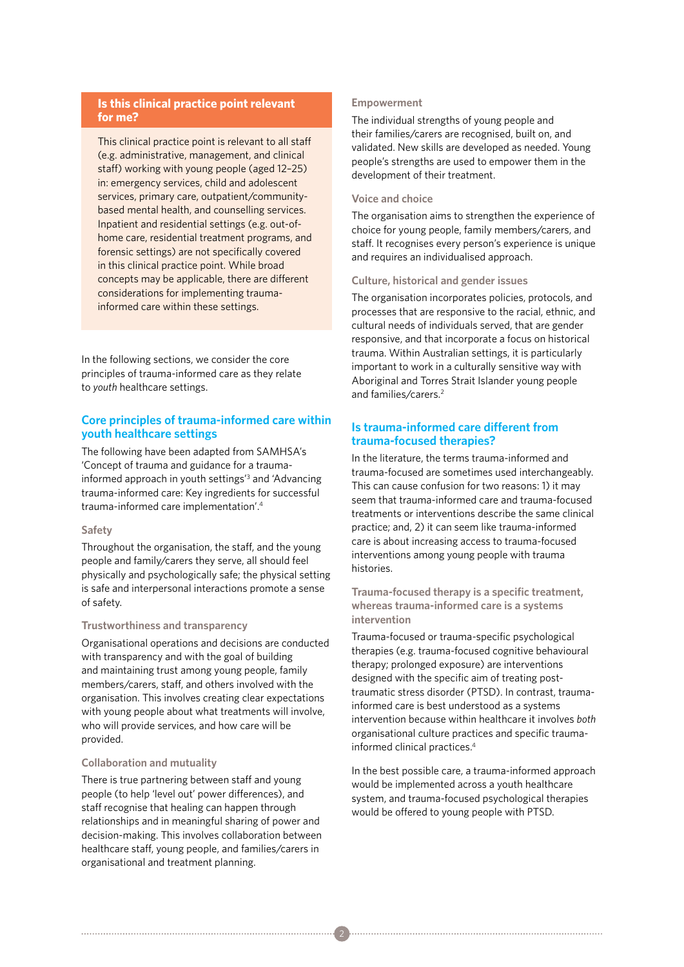#### **Is this clinical practice point relevant for me?**

This clinical practice point is relevant to all staff (e.g. administrative, management, and clinical staff) working with young people (aged 12–25) in: emergency services, child and adolescent services, primary care, outpatient/communitybased mental health, and counselling services. Inpatient and residential settings (e.g. out-ofhome care, residential treatment programs, and forensic settings) are not specifically covered in this clinical practice point. While broad concepts may be applicable, there are different considerations for implementing traumainformed care within these settings.

In the following sections, we consider the core principles of trauma-informed care as they relate to *youth* healthcare settings.

#### **Core principles of trauma-informed care within youth healthcare settings**

The following have been adapted from SAMHSA's 'Concept of trauma and guidance for a traumainformed approach in youth settings'3 and 'Advancing trauma-informed care: Key ingredients for successful trauma-informed care implementation'.4

#### **Safety**

Throughout the organisation, the staff, and the young people and family/carers they serve, all should feel physically and psychologically safe; the physical setting is safe and interpersonal interactions promote a sense of safety.

#### **Trustworthiness and transparency**

Organisational operations and decisions are conducted with transparency and with the goal of building and maintaining trust among young people, family members/carers, staff, and others involved with the organisation. This involves creating clear expectations with young people about what treatments will involve, who will provide services, and how care will be provided.

#### **Collaboration and mutuality**

There is true partnering between staff and young people (to help 'level out' power differences), and staff recognise that healing can happen through relationships and in meaningful sharing of power and decision-making. This involves collaboration between healthcare staff, young people, and families/carers in organisational and treatment planning.

#### **Empowerment**

The individual strengths of young people and their families/carers are recognised, built on, and validated. New skills are developed as needed. Young people's strengths are used to empower them in the development of their treatment.

#### **Voice and choice**

The organisation aims to strengthen the experience of choice for young people, family members/carers, and staff. It recognises every person's experience is unique and requires an individualised approach.

#### **Culture, historical and gender issues**

The organisation incorporates policies, protocols, and processes that are responsive to the racial, ethnic, and cultural needs of individuals served, that are gender responsive, and that incorporate a focus on historical trauma. Within Australian settings, it is particularly important to work in a culturally sensitive way with Aboriginal and Torres Strait Islander young people and families/carers.2

#### **Is trauma-informed care different from trauma-focused therapies?**

In the literature, the terms trauma-informed and trauma-focused are sometimes used interchangeably. This can cause confusion for two reasons: 1) it may seem that trauma-informed care and trauma-focused treatments or interventions describe the same clinical practice; and, 2) it can seem like trauma-informed care is about increasing access to trauma-focused interventions among young people with trauma histories.

#### **Trauma-focused therapy is a specific treatment, whereas trauma-informed care is a systems intervention**

Trauma-focused or trauma-specific psychological therapies (e.g. trauma-focused cognitive behavioural therapy; prolonged exposure) are interventions designed with the specific aim of treating posttraumatic stress disorder (PTSD). In contrast, traumainformed care is best understood as a systems intervention because within healthcare it involves *both* organisational culture practices and specific traumainformed clinical practices.4

In the best possible care, a trauma-informed approach would be implemented across a youth healthcare system, and trauma-focused psychological therapies would be offered to young people with PTSD.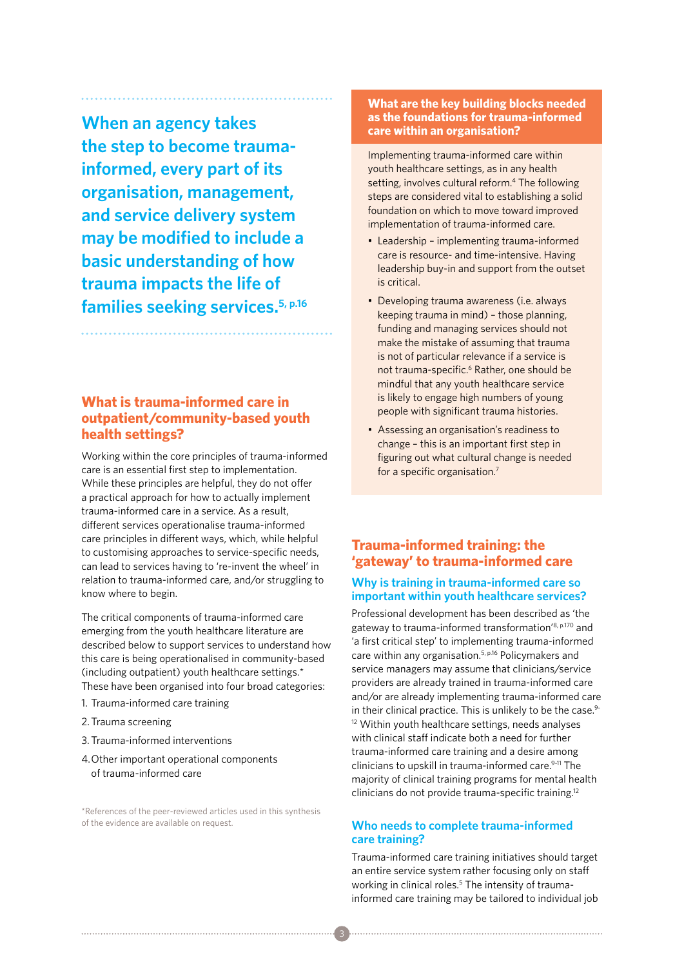**When an agency takes the step to become traumainformed, every part of its organisation, management, and service delivery system may be modified to include a basic understanding of how trauma impacts the life of families seeking services.5, p.16**

## **What is trauma-informed care in outpatient/community-based youth health settings?**

Working within the core principles of trauma-informed care is an essential first step to implementation. While these principles are helpful, they do not offer a practical approach for how to actually implement trauma-informed care in a service. As a result, different services operationalise trauma-informed care principles in different ways, which, while helpful to customising approaches to service-specific needs, can lead to services having to 're-invent the wheel' in relation to trauma-informed care, and/or struggling to know where to begin.

The critical components of trauma-informed care emerging from the youth healthcare literature are described below to support services to understand how this care is being operationalised in community-based (including outpatient) youth healthcare settings.\* These have been organised into four broad categories:

- 1. Trauma-informed care training
- 2.Trauma screening
- 3. Trauma-informed interventions
- 4.Other important operational components of trauma-informed care

\*References of the peer-reviewed articles used in this synthesis of the evidence are available on request.

#### **What are the key building blocks needed as the foundations for trauma-informed care within an organisation?**

Implementing trauma-informed care within youth healthcare settings, as in any health setting, involves cultural reform.<sup>4</sup> The following steps are considered vital to establishing a solid foundation on which to move toward improved implementation of trauma-informed care.

- Leadership implementing trauma-informed care is resource- and time-intensive. Having leadership buy-in and support from the outset is critical.
- Developing trauma awareness (i.e. always keeping trauma in mind) – those planning, funding and managing services should not make the mistake of assuming that trauma is not of particular relevance if a service is not trauma-specific.<sup>6</sup> Rather, one should be mindful that any youth healthcare service is likely to engage high numbers of young people with significant trauma histories.
- Assessing an organisation's readiness to change – this is an important first step in figuring out what cultural change is needed for a specific organisation.7

## **Trauma-informed training: the 'gateway' to trauma-informed care**

#### **Why is training in trauma-informed care so important within youth healthcare services?**

Professional development has been described as 'the gateway to trauma-informed transformation'8, p.170 and 'a first critical step' to implementing trauma-informed care within any organisation.5, p.16 Policymakers and service managers may assume that clinicians/service providers are already trained in trauma-informed care and/or are already implementing trauma-informed care in their clinical practice. This is unlikely to be the case.<sup>9-</sup> <sup>12</sup> Within youth healthcare settings, needs analyses with clinical staff indicate both a need for further trauma-informed care training and a desire among clinicians to upskill in trauma-informed care.<sup>9-11</sup> The majority of clinical training programs for mental health clinicians do not provide trauma-specific training.12

#### **Who needs to complete trauma-informed care training?**

Trauma-informed care training initiatives should target an entire service system rather focusing only on staff working in clinical roles.<sup>5</sup> The intensity of traumainformed care training may be tailored to individual job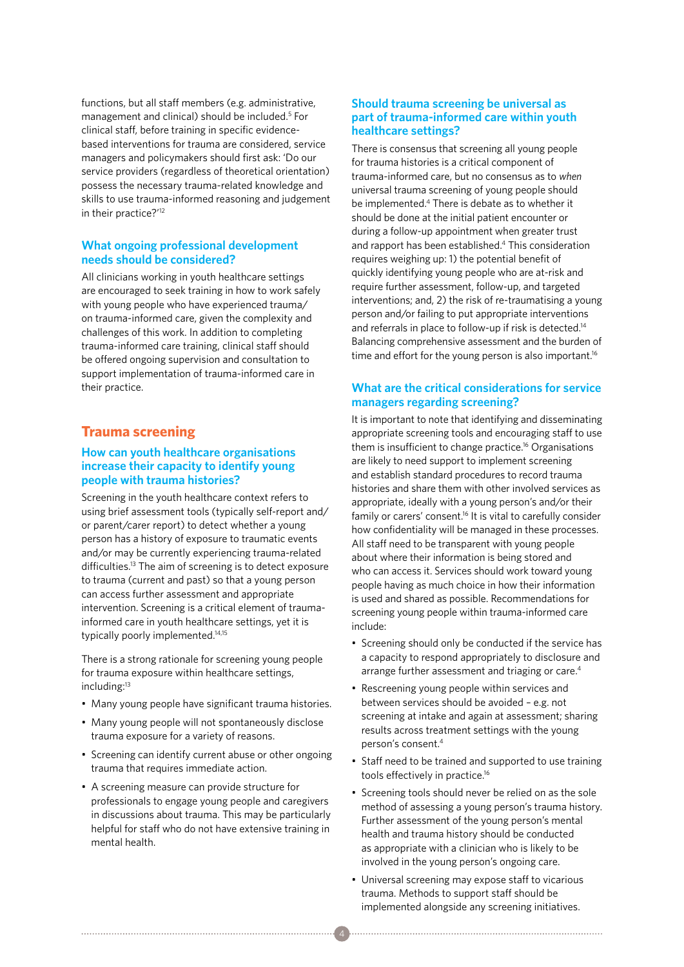functions, but all staff members (e.g. administrative, management and clinical) should be included.5 For clinical staff, before training in specific evidencebased interventions for trauma are considered, service managers and policymakers should first ask: 'Do our service providers (regardless of theoretical orientation) possess the necessary trauma-related knowledge and skills to use trauma-informed reasoning and judgement in their practice?'12

#### **What ongoing professional development needs should be considered?**

All clinicians working in youth healthcare settings are encouraged to seek training in how to work safely with young people who have experienced trauma/ on trauma-informed care, given the complexity and challenges of this work. In addition to completing trauma-informed care training, clinical staff should be offered ongoing supervision and consultation to support implementation of trauma-informed care in their practice.

## **Trauma screening**

#### **How can youth healthcare organisations increase their capacity to identify young people with trauma histories?**

Screening in the youth healthcare context refers to using brief assessment tools (typically self-report and/ or parent/carer report) to detect whether a young person has a history of exposure to traumatic events and/or may be currently experiencing trauma-related difficulties.13 The aim of screening is to detect exposure to trauma (current and past) so that a young person can access further assessment and appropriate intervention. Screening is a critical element of traumainformed care in youth healthcare settings, yet it is typically poorly implemented.<sup>14,15</sup>

There is a strong rationale for screening young people for trauma exposure within healthcare settings, including:<sup>13</sup>

- Many young people have significant trauma histories.
- Many young people will not spontaneously disclose trauma exposure for a variety of reasons.
- Screening can identify current abuse or other ongoing trauma that requires immediate action.
- A screening measure can provide structure for professionals to engage young people and caregivers in discussions about trauma. This may be particularly helpful for staff who do not have extensive training in mental health.

#### **Should trauma screening be universal as part of trauma-informed care within youth healthcare settings?**

There is consensus that screening all young people for trauma histories is a critical component of trauma-informed care, but no consensus as to *when* universal trauma screening of young people should be implemented.4 There is debate as to whether it should be done at the initial patient encounter or during a follow-up appointment when greater trust and rapport has been established.4 This consideration requires weighing up: 1) the potential benefit of quickly identifying young people who are at-risk and require further assessment, follow-up, and targeted interventions; and, 2) the risk of re-traumatising a young person and/or failing to put appropriate interventions and referrals in place to follow-up if risk is detected.<sup>14</sup> Balancing comprehensive assessment and the burden of time and effort for the young person is also important.<sup>16</sup>

#### **What are the critical considerations for service managers regarding screening?**

It is important to note that identifying and disseminating appropriate screening tools and encouraging staff to use them is insufficient to change practice.16 Organisations are likely to need support to implement screening and establish standard procedures to record trauma histories and share them with other involved services as appropriate, ideally with a young person's and/or their family or carers' consent.16 It is vital to carefully consider how confidentiality will be managed in these processes. All staff need to be transparent with young people about where their information is being stored and who can access it. Services should work toward young people having as much choice in how their information is used and shared as possible. Recommendations for screening young people within trauma-informed care include:

- Screening should only be conducted if the service has a capacity to respond appropriately to disclosure and arrange further assessment and triaging or care.<sup>4</sup>
- Rescreening young people within services and between services should be avoided – e.g. not screening at intake and again at assessment; sharing results across treatment settings with the young person's consent.4
- Staff need to be trained and supported to use training tools effectively in practice.16
- Screening tools should never be relied on as the sole method of assessing a young person's trauma history. Further assessment of the young person's mental health and trauma history should be conducted as appropriate with a clinician who is likely to be involved in the young person's ongoing care.
- Universal screening may expose staff to vicarious trauma. Methods to support staff should be implemented alongside any screening initiatives.

4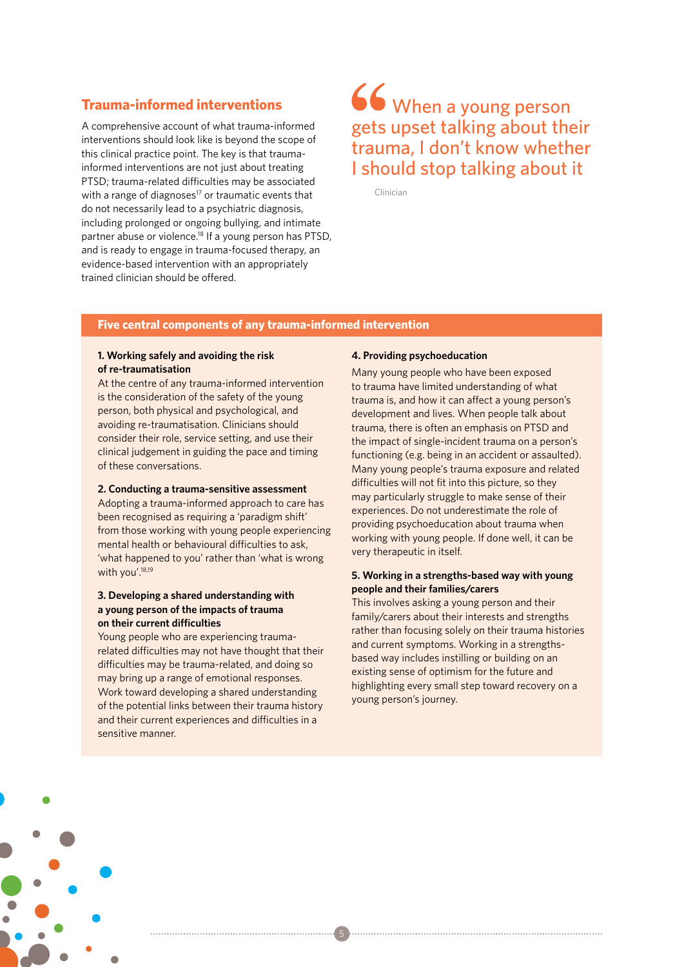## **Trauma-informed interventions**

A comprehensive account of what trauma-informed interventions should look like is beyond the scope of this clinical practice point. The key is that traumainformed interventions are not just about treating PTSD; trauma-related difficulties may be associated with a range of diagnoses $17$  or traumatic events that do not necessarily lead to a psychiatric diagnosis, including prolonged or ongoing bullying, and intimate partner abuse or violence. 18 If a young person has PTSD, and is ready to engage in trauma-focused therapy, an evidence-based intervention with an appropriately trained clinician should be offered.

# 66 When a young person gets upset talking about their trauma, I don't know whether I should stop talking about it

Clinician

#### **Five central components of any trauma-informed intervention**

#### **1. Working safely and avoiding the risk of re-traumatisation**

At the centre of any trauma-informed intervention is the consideration of the safety of the young person, both physical and psychological, and avoiding re-traumatisation. Clinicians should consider their role, service setting, and use their clinical judgement in guiding the pace and timing of these conversations.

#### **2. Conducting a trauma-sensitive assessment**

Adopting a trauma-informed approach to care has been recognised as requiring a 'paradigm shift' from those working with young people experiencing mental health or behavioural difficulties to ask, 'what happened to you' rather than 'what is wrong with you'.<sup>18,19</sup>

#### **3. Developing a shared understanding with a young person of the impacts of trauma on their current difficulties**

Young people who are experiencing traumarelated difficulties may not have thought that their difficulties may be trauma-related, and doing so may bring up a range of emotional responses. Work toward developing a shared understanding of the potential links between their trauma history and their current experiences and difficulties in a sensitive manner.

#### **4. Providing psychoeducation**

Many young people who have been exposed to trauma have limited understanding of what trauma is, and how it can affect a young person's development and lives. When people talk about trauma, there is often an emphasis on PTSD and the impact of single-incident trauma on a person's functioning (e.g. being in an accident or assaulted). Many young people's trauma exposure and related difficulties will not fit into this picture, so they may particularly struggle to make sense of their experiences. Do not underestimate the role of providing psychoeducation about trauma when working with young people. If done well, it can be very therapeutic in itself.

#### **5. Working in a strengths-based way with young people and their families/carers**

This involves asking a young person and their family/carers about their interests and strengths rather than focusing solely on their trauma histories and current symptoms. Working in a strengthsbased way includes instilling or building on an existing sense of optimism for the future and highlighting every small step toward recovery on a young person's journey.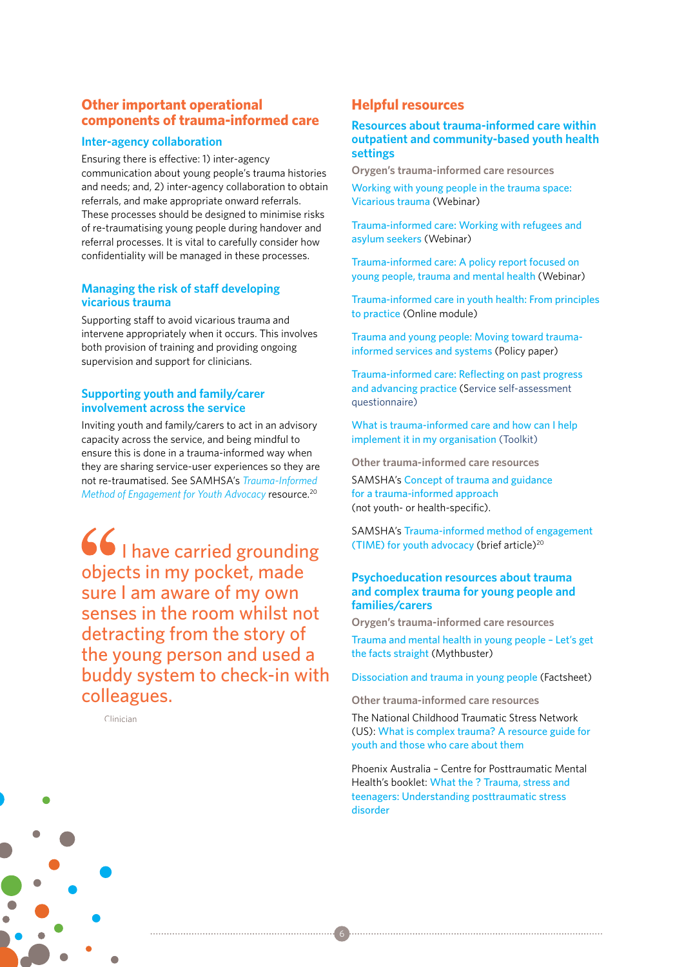## **Other important operational components of trauma-informed care**

#### **Inter-agency collaboration**

Ensuring there is effective: 1) inter-agency communication about young people's trauma histories and needs; and, 2) inter-agency collaboration to obtain referrals, and make appropriate onward referrals. These processes should be designed to minimise risks of re-traumatising young people during handover and referral processes. It is vital to carefully consider how confidentiality will be managed in these processes.

#### **Managing the risk of staff developing vicarious trauma**

Supporting staff to avoid vicarious trauma and intervene appropriately when it occurs. This involves both provision of training and providing ongoing supervision and support for clinicians.

#### **Supporting youth and family/carer involvement across the service**

Inviting youth and family/carers to act in an advisory capacity across the service, and being mindful to ensure this is done in a trauma-informed way when they are sharing service-user experiences so they are not re-traumatised. See SAMHSA's *Trauma-Informed Method of Engagement for Youth Advocacy* resource.20

66 | have carried grounding objects in my pocket, made sure I am aware of my own senses in the room whilst not detracting from the story of the young person and used a buddy system to check-in with colleagues.

Clinician

#### **Helpful resources**

#### **Resources about trauma-informed care within outpatient and community-based youth health settings**

**Orygen's trauma-informed care resources** [Working with young people in the trauma space:](https://www.orygen.org.au/Education-Training/Resources-Training/Webinars/Past-Webinars)  [Vicarious trauma](https://www.orygen.org.au/Education-Training/Resources-Training/Webinars/Past-Webinars) (Webinar)

[Trauma-informed care: Working with refugees and](https://www.orygen.org.au/Education-Training/Resources-Training/Webinars/refugees-asylum-seekers)  [asylum seekers](https://www.orygen.org.au/Education-Training/Resources-Training/Webinars/refugees-asylum-seekers) (Webinar)

[Trauma-informed care: A policy report focused on](https://www.orygen.org.au/Education-Training/Resources-Training/Webinars/Past-Webinars/Trauma-informed-care-policy-paper)  [young people, trauma and mental health](https://www.orygen.org.au/Education-Training/Resources-Training/Webinars/Past-Webinars/Trauma-informed-care-policy-paper) (Webinar)

[Trauma-informed care in youth health: From principles](https://www.orygen.org.au/Education-Training/Resources-Training/Training-Modules)  [to practice](https://www.orygen.org.au/Education-Training/Resources-Training/Training-Modules) (Online module)

[Trauma and young people: Moving toward trauma](https://www.orygen.org.au/trauma)[informed services and systems](https://www.orygen.org.au/trauma) (Policy paper)

[Trauma-informed care: Reflecting on past progress](https://www.orygen.org.au/Education-Training/Resources-Training)  [and advancing practice](https://www.orygen.org.au/Education-Training/Resources-Training) (Service self-assessment questionnaire)

[What is trauma-informed care and how can I help](https://www.orygen.org.au/Education-Training/Resources-Training)  [implement it in my organisation](https://www.orygen.org.au/Education-Training/Resources-Training) (Toolkit)

**Other trauma-informed care resources**

SAMSHA's [Concept of trauma and guidance](https://store.samhsa.gov/product/SAMHSA-s-Concept-of-Trauma-and-Guidance-for-a-Trauma-Informed-Approach/SMA14-4884)  [for a trauma-informed approach](https://store.samhsa.gov/product/SAMHSA-s-Concept-of-Trauma-and-Guidance-for-a-Trauma-Informed-Approach/SMA14-4884) (not youth- or health-specific).

SAMSHA's [Trauma-informed method of engagement](https://www.pathwaysrtc.pdx.edu/pdf/fpS1508.pdf)  [\(TIME\) for youth advocacy](https://www.pathwaysrtc.pdx.edu/pdf/fpS1508.pdf) (brief article)20

#### **Psychoeducation resources about trauma and complex trauma for young people and families/carers**

**Orygen's trauma-informed care resources** [Trauma and mental health in young people – Let's get](https://www.orygen.org.au/Education-Training/Resources-Training/Resources/Free/Mythbusters/Trauma-mh-yp)  [the facts straight](https://www.orygen.org.au/Education-Training/Resources-Training/Resources/Free/Mythbusters/Trauma-mh-yp) (Mythbuster)

[Dissociation and trauma in young people](https://www.orygen.org.au/Education-Training/Resources-Training/Resources/Free/Fact-Sheets/Dissociation-trauma) (Factsheet)

**Other trauma-informed care resources**

6

The National Childhood Traumatic Stress Network (US): [What is complex trauma? A resource guide for](https://www.nctsn.org/resources/what-complex-trauma-resource-guide-youth-and-those-who-care-about-them)  [youth and those who care about them](https://www.nctsn.org/resources/what-complex-trauma-resource-guide-youth-and-those-who-care-about-them)

Phoenix Australia – Centre for Posttraumatic Mental Health's booklet: [What the ? Trauma, stress and](http://phoenixaustralia.org/wp-content/uploads/2015/03/Phoenix-Teenager-Brochure.pdf)  [teenagers: Understanding posttraumatic stress](http://phoenixaustralia.org/wp-content/uploads/2015/03/Phoenix-Teenager-Brochure.pdf)  [disorder](http://phoenixaustralia.org/wp-content/uploads/2015/03/Phoenix-Teenager-Brochure.pdf)